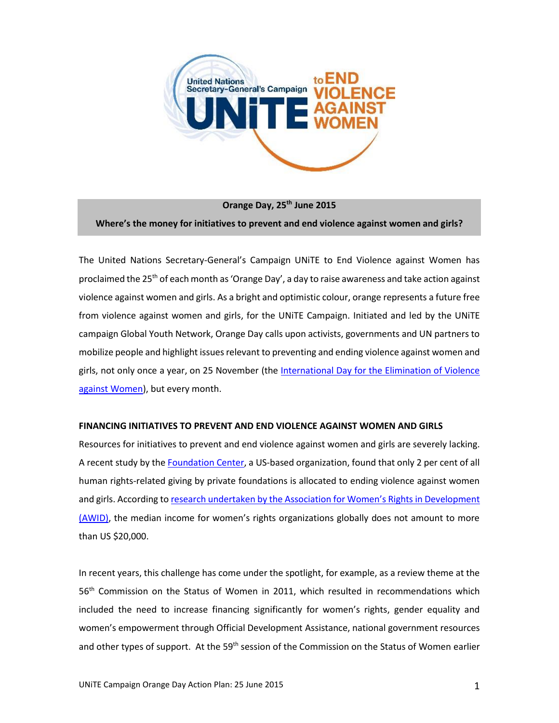

**Orange Day, 25th June 2015 Where's the money for initiatives to prevent and end violence against women and girls?**

The United Nations Secretary-General's Campaign UNiTE to End Violence against Women has proclaimed the 25th of each month as 'Orange Day', a day to raise awareness and take action against violence against women and girls. As a bright and optimistic colour, orange represents a future free from violence against women and girls, for the UNiTE Campaign. Initiated and led by the UNiTE campaign Global Youth Network, Orange Day calls upon activists, governments and UN partners to mobilize people and highlight issues relevant to preventing and ending violence against women and girls, not only once a year, on 25 November (the [International Day for the Elimination of Violence](http://www.unwomen.org/en/news/in-focus/end-violence-against-women)  [against Women\)](http://www.unwomen.org/en/news/in-focus/end-violence-against-women), but every month.

### **FINANCING INITIATIVES TO PREVENT AND END VIOLENCE AGAINST WOMEN AND GIRLS**

Resources for initiatives to prevent and end violence against women and girls are severely lacking. A recent study by th[e Foundation Center,](http://foundationcenter.org/gainknowledge/research/pdf/humanrights2013_highlights.pdf) a US-based organization, found that only 2 per cent of all human rights-related giving by private foundations is allocated to ending violence against women and girls. According to [research undertaken by the Association for Women](http://www01.awid.org/map/map_02_world_financials.html)'s Rights in Development (AWID), the median income for women's rights organizations globally does not amount to more than US \$20,000.

In recent years, this challenge has come under the spotlight, for example, as a review theme at the 56<sup>th</sup> Commission on the Status of Women in 2011, which resulted in recommendations which included the need to increase financing significantly for women's rights, gender equality and women's empowerment through Official Development Assistance, national government resources and other types of support. At the 59<sup>th</sup> session of the Commission on the Status of Women earlier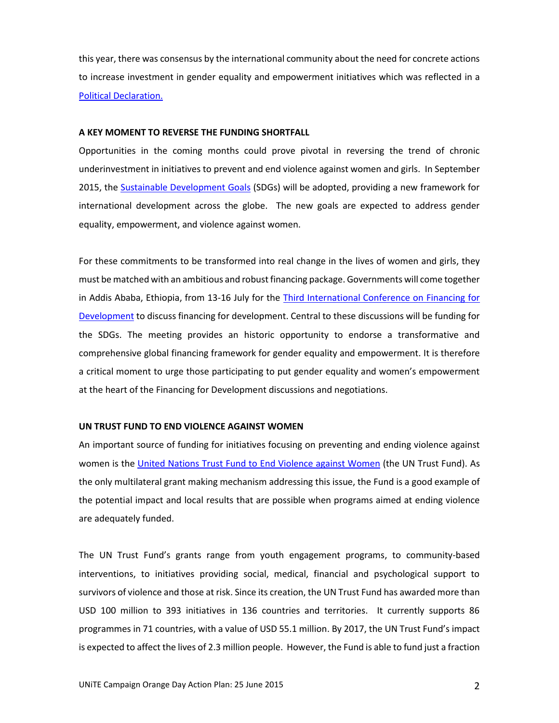this year, there was consensus by the international community about the need for concrete actions to increase investment in gender equality and empowerment initiatives which was reflected in a [Political Declaration.](http://www.un.org/ga/search/view_doc.asp?symbol=E/CN.6/2015/L.1)

#### **A KEY MOMENT TO REVERSE THE FUNDING SHORTFALL**

Opportunities in the coming months could prove pivotal in reversing the trend of chronic underinvestment in initiatives to prevent and end violence against women and girls. In September 2015, the [Sustainable Development Goals](https://sustainabledevelopment.un.org/topics/sustainabledevelopmentgoals) (SDGs) will be adopted, providing a new framework for international development across the globe. The new goals are expected to address gender equality, empowerment, and violence against women.

For these commitments to be transformed into real change in the lives of women and girls, they must be matched with an ambitious and robust financing package. Governments will come together in Addis Ababa, Ethiopia, from 13-16 July for the [Third International Conference on Financing for](http://www.un.org/esa/ffd/ffd3/)  [Development](http://www.un.org/esa/ffd/ffd3/) to discuss financing for development. Central to these discussions will be funding for the SDGs. The meeting provides an historic opportunity to endorse a transformative and comprehensive global financing framework for gender equality and empowerment. It is therefore a critical moment to urge those participating to put gender equality and women's empowerment at the heart of the Financing for Development discussions and negotiations.

### **UN TRUST FUND TO END VIOLENCE AGAINST WOMEN**

An important source of funding for initiatives focusing on preventing and ending violence against women is the United [Nations Trust Fund to End Violence against Women](http://www.unwomen.org/en/trust-funds/un-trust-fund-to-end-violence-against-women) (the UN Trust Fund). As the only multilateral grant making mechanism addressing this issue, the Fund is a good example of the potential impact and local results that are possible when programs aimed at ending violence are adequately funded.

The UN Trust Fund's grants range from youth engagement programs, to community-based interventions, to initiatives providing social, medical, financial and psychological support to survivors of violence and those at risk. Since its creation, the UN Trust Fund has awarded more than USD 100 million to 393 initiatives in 136 countries and territories. It currently supports 86 programmes in 71 countries, with a value of USD 55.1 million. By 2017, the UN Trust Fund's impact is expected to affect the lives of 2.3 million people. However, the Fund is able to fund just a fraction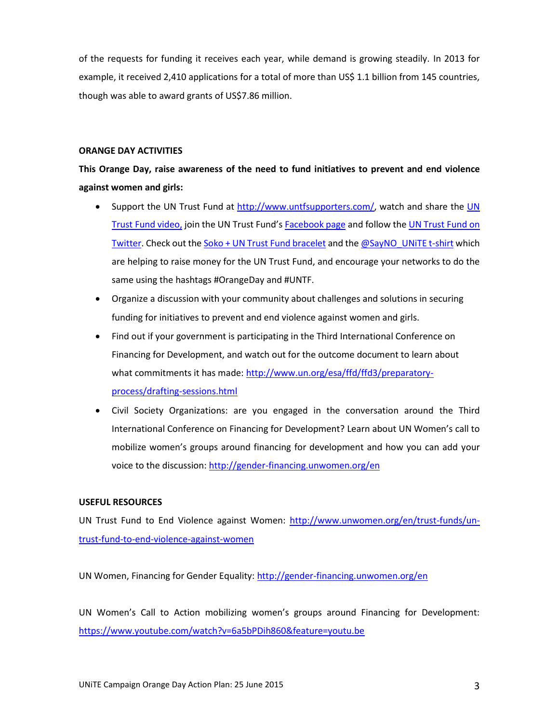of the requests for funding it receives each year, while demand is growing steadily. In 2013 for example, it received 2,410 applications for a total of more than US\$ 1.1 billion from 145 countries, though was able to award grants of US\$7.86 million.

# **ORANGE DAY ACTIVITIES**

**This Orange Day, raise awareness of the need to fund initiatives to prevent and end violence against women and girls:**

- Support the UN Trust Fund at [http://www.untfsupporters.com/,](http://www.untfsupporters.com/) watch and share the UN [Trust Fund video,](https://www.youtube.com/watch?v=B11lfCbmSFg) join the UN Trust Fund's [Facebook page](https://www.facebook.com/UNTrustFund) and follow th[e UN Trust Fund on](https://twitter.com/untrustfundevaw)  [Twitter.](https://twitter.com/untrustfundevaw) Check out th[e Soko + UN Trust Fund bracelet](http://shopsoko.com/collections/UNTF) and the  $@SayNO$  UNITE t-shirt which are helping to raise money for the UN Trust Fund, and encourage your networks to do the same using the hashtags #OrangeDay and #UNTF.
- Organize a discussion with your community about challenges and solutions in securing funding for initiatives to prevent and end violence against women and girls.
- Find out if your government is participating in the Third International Conference on Financing for Development, and watch out for the outcome document to learn about what commitments it has made[: http://www.un.org/esa/ffd/ffd3/preparatory](http://www.un.org/esa/ffd/ffd3/preparatory-process/drafting-sessions.html)[process/drafting-sessions.html](http://www.un.org/esa/ffd/ffd3/preparatory-process/drafting-sessions.html)
- Civil Society Organizations: are you engaged in the conversation around the Third International Conference on Financing for Development? Learn about UN Women's call to mobilize women's groups around financing for development and how you can add your voice to the discussion: <http://gender-financing.unwomen.org/en>

# **USEFUL RESOURCES**

UN Trust Fund to End Violence against Women: [http://www.unwomen.org/en/trust-funds/un](http://www.unwomen.org/en/trust-funds/un-trust-fund-to-end-violence-against-women)[trust-fund-to-end-violence-against-women](http://www.unwomen.org/en/trust-funds/un-trust-fund-to-end-violence-against-women)

UN Women, Financing for Gender Equality[: http://gender-financing.unwomen.org/en](http://gender-financing.unwomen.org/en)

UN Women's Call to Action mobilizing women's groups around Financing for Development: <https://www.youtube.com/watch?v=6a5bPDih860&feature=youtu.be>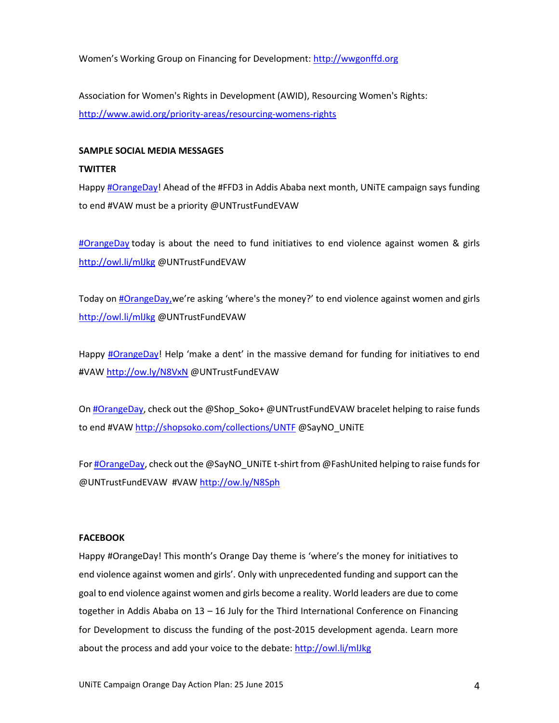Women's Working Group on Financing for Development: [http://wwgonffd.org](http://wwgonffd.org/)

Association for Women's Rights in Development (AWID), Resourcing Women's Rights: <http://www.awid.org/priority-areas/resourcing-womens-rights>

## **SAMPLE SOCIAL MEDIA MESSAGES**

### **TWITTER**

Happ[y #OrangeDay!](https://twitter.com/search?q=%23OrangeDay) Ahead of the #FFD3 in Addis Ababa next month, UNiTE campaign says funding to end #VAW must be a priority @UNTrustFundEVAW

[#OrangeDay](https://twitter.com/search?q=%23OrangeDay) today is about the need to fund initiatives to end violence against women & girls <http://owl.li/mlJkg> @UNTrustFundEVAW

Today on [#OrangeDay,](https://twitter.com/search?q=%23OrangeDay) we're asking 'where's the money?' to end violence against women and girls <http://owl.li/mlJkg> @UNTrustFundEVAW

Happy [#OrangeDay](https://twitter.com/search?q=%23OrangeDay)! Help 'make a dent' in the massive demand for funding for initiatives to end #VAW <http://ow.ly/N8VxN> @UNTrustFundEVAW

O[n #OrangeDay,](https://twitter.com/search?q=%23OrangeDay) check out the @Shop\_Soko+ @UNTrustFundEVAW bracelet helping to raise funds to end #VAW <http://shopsoko.com/collections/UNTF> @SayNO\_UNiTE

Fo[r #OrangeDay,](https://twitter.com/search?q=%23OrangeDay) check out the @SayNO\_UNiTE t-shirt from @FashUnited helping to raise funds for @UNTrustFundEVAW #VAW<http://ow.ly/N8Sph>

### **FACEBOOK**

Happy #OrangeDay! This month's Orange Day theme is 'where's the money for initiatives to end violence against women and girls'. Only with unprecedented funding and support can the goal to end violence against women and girls become a reality. World leaders are due to come together in Addis Ababa on 13 – 16 July for the Third International Conference on Financing for Development to discuss the funding of the post-2015 development agenda. Learn more about the process and add your voice to the debate:<http://owl.li/mlJkg>